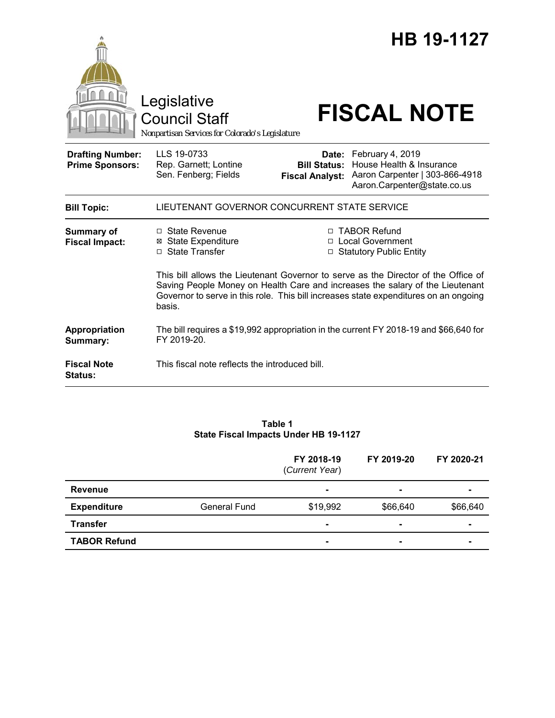|                                                   | Legislative<br><b>Council Staff</b><br>Nonpartisan Services for Colorado's Legislature                                                                                          |                                                                                                                                                         | HB 19-1127<br><b>FISCAL NOTE</b>                                                                                    |  |  |
|---------------------------------------------------|---------------------------------------------------------------------------------------------------------------------------------------------------------------------------------|---------------------------------------------------------------------------------------------------------------------------------------------------------|---------------------------------------------------------------------------------------------------------------------|--|--|
| <b>Drafting Number:</b><br><b>Prime Sponsors:</b> | LLS 19-0733<br>Rep. Garnett; Lontine<br>Sen. Fenberg; Fields                                                                                                                    | <b>Bill Status:</b><br><b>Fiscal Analyst:</b>                                                                                                           | Date: February 4, 2019<br>House Health & Insurance<br>Aaron Carpenter   303-866-4918<br>Aaron.Carpenter@state.co.us |  |  |
| <b>Bill Topic:</b>                                | LIEUTENANT GOVERNOR CONCURRENT STATE SERVICE                                                                                                                                    |                                                                                                                                                         |                                                                                                                     |  |  |
| <b>Summary of</b><br><b>Fiscal Impact:</b>        | $\Box$ State Revenue<br><b>⊠</b> State Expenditure<br>□ State Transfer                                                                                                          | □ TABOR Refund<br>□ Local Government<br>□ Statutory Public Entity<br>This bill allows the Lieutenant Governor to serve as the Director of the Office of |                                                                                                                     |  |  |
|                                                   | Saving People Money on Health Care and increases the salary of the Lieutenant<br>Governor to serve in this role. This bill increases state expenditures on an ongoing<br>basis. |                                                                                                                                                         |                                                                                                                     |  |  |
| Appropriation<br>Summary:                         | The bill requires a \$19,992 appropriation in the current FY 2018-19 and \$66,640 for<br>FY 2019-20.                                                                            |                                                                                                                                                         |                                                                                                                     |  |  |
| <b>Fiscal Note</b><br><b>Status:</b>              | This fiscal note reflects the introduced bill.                                                                                                                                  |                                                                                                                                                         |                                                                                                                     |  |  |

#### **Table 1 State Fiscal Impacts Under HB 19-1127**

|                     |                     | FY 2018-19<br>(Current Year) | FY 2019-20 | FY 2020-21 |
|---------------------|---------------------|------------------------------|------------|------------|
| <b>Revenue</b>      |                     | ۰                            | ۰          |            |
| <b>Expenditure</b>  | <b>General Fund</b> | \$19,992                     | \$66,640   | \$66,640   |
| <b>Transfer</b>     |                     |                              | -          |            |
| <b>TABOR Refund</b> |                     | $\blacksquare$               | -          |            |